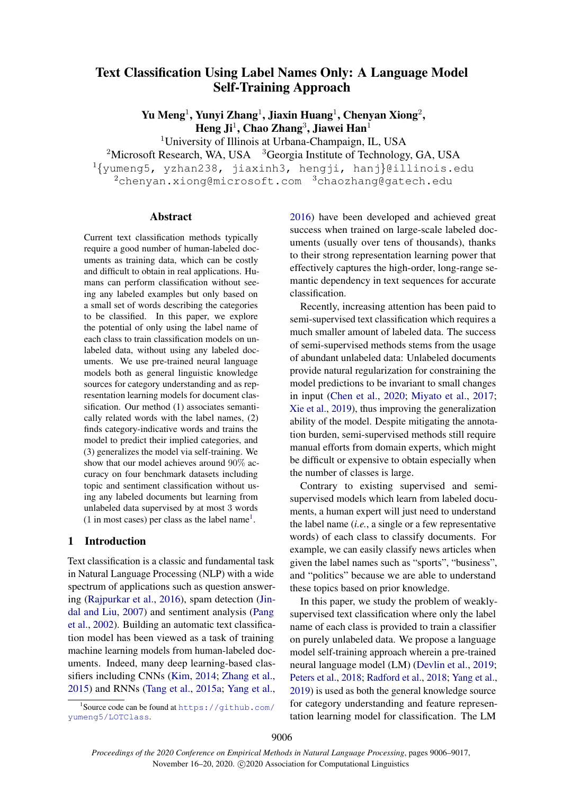# Text Classification Using Label Names Only: A Language Model Self-Training Approach

Yu Meng<sup>1</sup>, Yunyi Zhang<sup>1</sup>, Jiaxin Huang<sup>1</sup>, Chenyan Xiong<sup>2</sup>, Heng Ji $^1$ , Chao Zhang $^3$ , Jiawei Han $^1$ 

<sup>1</sup>University of Illinois at Urbana-Champaign, IL, USA

<sup>2</sup>Microsoft Research, WA, USA  $3G$ eorgia Institute of Technology, GA, USA

<sup>1</sup>{yumeng5, yzhan238, jiaxinh3, hengji, hanj}@illinois.edu <sup>2</sup>chenyan.xiong@microsoft.com <sup>3</sup>chaozhang@gatech.edu

#### Abstract

Current text classification methods typically require a good number of human-labeled documents as training data, which can be costly and difficult to obtain in real applications. Humans can perform classification without seeing any labeled examples but only based on a small set of words describing the categories to be classified. In this paper, we explore the potential of only using the label name of each class to train classification models on unlabeled data, without using any labeled documents. We use pre-trained neural language models both as general linguistic knowledge sources for category understanding and as representation learning models for document classification. Our method (1) associates semantically related words with the label names, (2) finds category-indicative words and trains the model to predict their implied categories, and (3) generalizes the model via self-training. We show that our model achieves around 90% accuracy on four benchmark datasets including topic and sentiment classification without using any labeled documents but learning from unlabeled data supervised by at most 3 words  $(1 \text{ in most cases})$  $(1 \text{ in most cases})$  $(1 \text{ in most cases})$  per class as the label name<sup>1</sup>.

### 1 Introduction

Text classification is a classic and fundamental task in Natural Language Processing (NLP) with a wide spectrum of applications such as question answering [\(Rajpurkar et al.,](#page-10-0) [2016\)](#page-10-0), spam detection [\(Jin](#page-9-0)[dal and Liu,](#page-9-0) [2007\)](#page-9-0) and sentiment analysis [\(Pang](#page-9-1) [et al.,](#page-9-1) [2002\)](#page-9-1). Building an automatic text classification model has been viewed as a task of training machine learning models from human-labeled documents. Indeed, many deep learning-based classifiers including CNNs [\(Kim,](#page-9-2) [2014;](#page-9-2) [Zhang et al.,](#page-10-1) [2015\)](#page-10-1) and RNNs [\(Tang et al.,](#page-10-2) [2015a;](#page-10-2) [Yang et al.,](#page-10-3)

<span id="page-0-0"></span>1 Source code can be found at [https://github.com/](https://github.com/yumeng5/LOTClass) [yumeng5/LOTClass](https://github.com/yumeng5/LOTClass).

[2016\)](#page-10-3) have been developed and achieved great success when trained on large-scale labeled documents (usually over tens of thousands), thanks to their strong representation learning power that effectively captures the high-order, long-range semantic dependency in text sequences for accurate classification.

Recently, increasing attention has been paid to semi-supervised text classification which requires a much smaller amount of labeled data. The success of semi-supervised methods stems from the usage of abundant unlabeled data: Unlabeled documents provide natural regularization for constraining the model predictions to be invariant to small changes in input [\(Chen et al.,](#page-9-3) [2020;](#page-9-3) [Miyato et al.,](#page-9-4) [2017;](#page-9-4) [Xie et al.,](#page-10-4) [2019\)](#page-10-4), thus improving the generalization ability of the model. Despite mitigating the annotation burden, semi-supervised methods still require manual efforts from domain experts, which might be difficult or expensive to obtain especially when the number of classes is large.

Contrary to existing supervised and semisupervised models which learn from labeled documents, a human expert will just need to understand the label name (*i.e.*, a single or a few representative words) of each class to classify documents. For example, we can easily classify news articles when given the label names such as "sports", "business", and "politics" because we are able to understand these topics based on prior knowledge.

In this paper, we study the problem of weaklysupervised text classification where only the label name of each class is provided to train a classifier on purely unlabeled data. We propose a language model self-training approach wherein a pre-trained neural language model (LM) [\(Devlin et al.,](#page-9-5) [2019;](#page-9-5) [Peters et al.,](#page-9-6) [2018;](#page-9-6) [Radford et al.,](#page-10-5) [2018;](#page-10-5) [Yang et al.,](#page-10-6) [2019\)](#page-10-6) is used as both the general knowledge source for category understanding and feature representation learning model for classification. The LM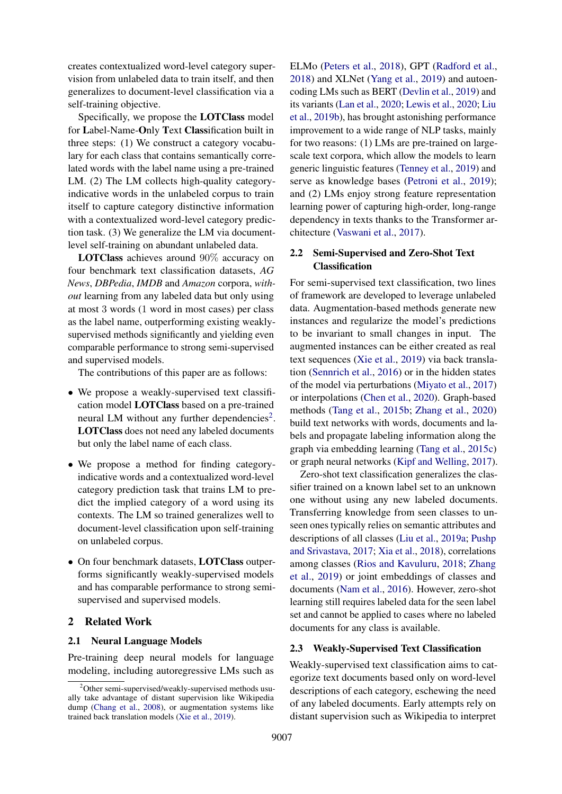creates contextualized word-level category supervision from unlabeled data to train itself, and then generalizes to document-level classification via a self-training objective.

Specifically, we propose the LOTClass model for Label-Name-Only Text Classification built in three steps: (1) We construct a category vocabulary for each class that contains semantically correlated words with the label name using a pre-trained LM. (2) The LM collects high-quality categoryindicative words in the unlabeled corpus to train itself to capture category distinctive information with a contextualized word-level category prediction task. (3) We generalize the LM via documentlevel self-training on abundant unlabeled data.

LOTClass achieves around 90% accuracy on four benchmark text classification datasets, *AG News*, *DBPedia*, *IMDB* and *Amazon* corpora, *without* learning from any labeled data but only using at most 3 words (1 word in most cases) per class as the label name, outperforming existing weaklysupervised methods significantly and yielding even comparable performance to strong semi-supervised and supervised models.

The contributions of this paper are as follows:

- We propose a weakly-supervised text classification model LOTClass based on a pre-trained neural LM without any further dependencies<sup>[2](#page-1-0)</sup>. LOTClass does not need any labeled documents but only the label name of each class.
- We propose a method for finding categoryindicative words and a contextualized word-level category prediction task that trains LM to predict the implied category of a word using its contexts. The LM so trained generalizes well to document-level classification upon self-training on unlabeled corpus.
- On four benchmark datasets, LOTClass outperforms significantly weakly-supervised models and has comparable performance to strong semisupervised and supervised models.

#### 2 Related Work

#### 2.1 Neural Language Models

Pre-training deep neural models for language modeling, including autoregressive LMs such as

ELMo [\(Peters et al.,](#page-9-6) [2018\)](#page-9-6), GPT [\(Radford et al.,](#page-10-5) [2018\)](#page-10-5) and XLNet [\(Yang et al.,](#page-10-6) [2019\)](#page-10-6) and autoencoding LMs such as BERT [\(Devlin et al.,](#page-9-5) [2019\)](#page-9-5) and its variants [\(Lan et al.,](#page-9-8) [2020;](#page-9-8) [Lewis et al.,](#page-9-9) [2020;](#page-9-9) [Liu](#page-9-10) [et al.,](#page-9-10) [2019b\)](#page-9-10), has brought astonishing performance improvement to a wide range of NLP tasks, mainly for two reasons: (1) LMs are pre-trained on largescale text corpora, which allow the models to learn generic linguistic features [\(Tenney et al.,](#page-10-7) [2019\)](#page-10-7) and serve as knowledge bases [\(Petroni et al.,](#page-9-11) [2019\)](#page-9-11); and (2) LMs enjoy strong feature representation learning power of capturing high-order, long-range dependency in texts thanks to the Transformer architecture [\(Vaswani et al.,](#page-10-8) [2017\)](#page-10-8).

### 2.2 Semi-Supervised and Zero-Shot Text Classification

For semi-supervised text classification, two lines of framework are developed to leverage unlabeled data. Augmentation-based methods generate new instances and regularize the model's predictions to be invariant to small changes in input. The augmented instances can be either created as real text sequences [\(Xie et al.,](#page-10-4) [2019\)](#page-10-4) via back translation [\(Sennrich et al.,](#page-10-9) [2016\)](#page-10-9) or in the hidden states of the model via perturbations [\(Miyato et al.,](#page-9-4) [2017\)](#page-9-4) or interpolations [\(Chen et al.,](#page-9-3) [2020\)](#page-9-3). Graph-based methods [\(Tang et al.,](#page-10-10) [2015b;](#page-10-10) [Zhang et al.,](#page-10-11) [2020\)](#page-10-11) build text networks with words, documents and labels and propagate labeling information along the graph via embedding learning [\(Tang et al.,](#page-10-12) [2015c\)](#page-10-12) or graph neural networks [\(Kipf and Welling,](#page-9-12) [2017\)](#page-9-12).

Zero-shot text classification generalizes the classifier trained on a known label set to an unknown one without using any new labeled documents. Transferring knowledge from seen classes to unseen ones typically relies on semantic attributes and descriptions of all classes [\(Liu et al.,](#page-9-13) [2019a;](#page-9-13) [Pushp](#page-10-13) [and Srivastava,](#page-10-13) [2017;](#page-10-13) [Xia et al.,](#page-10-14) [2018\)](#page-10-14), correlations among classes [\(Rios and Kavuluru,](#page-10-15) [2018;](#page-10-15) [Zhang](#page-10-16) [et al.,](#page-10-16) [2019\)](#page-10-16) or joint embeddings of classes and documents [\(Nam et al.,](#page-9-14) [2016\)](#page-9-14). However, zero-shot learning still requires labeled data for the seen label set and cannot be applied to cases where no labeled documents for any class is available.

### 2.3 Weakly-Supervised Text Classification

Weakly-supervised text classification aims to categorize text documents based only on word-level descriptions of each category, eschewing the need of any labeled documents. Early attempts rely on distant supervision such as Wikipedia to interpret

<span id="page-1-0"></span> $2^2$ Other semi-supervised/weakly-supervised methods usually take advantage of distant supervision like Wikipedia dump [\(Chang et al.,](#page-9-7) [2008\)](#page-9-7), or augmentation systems like trained back translation models [\(Xie et al.,](#page-10-4) [2019\)](#page-10-4).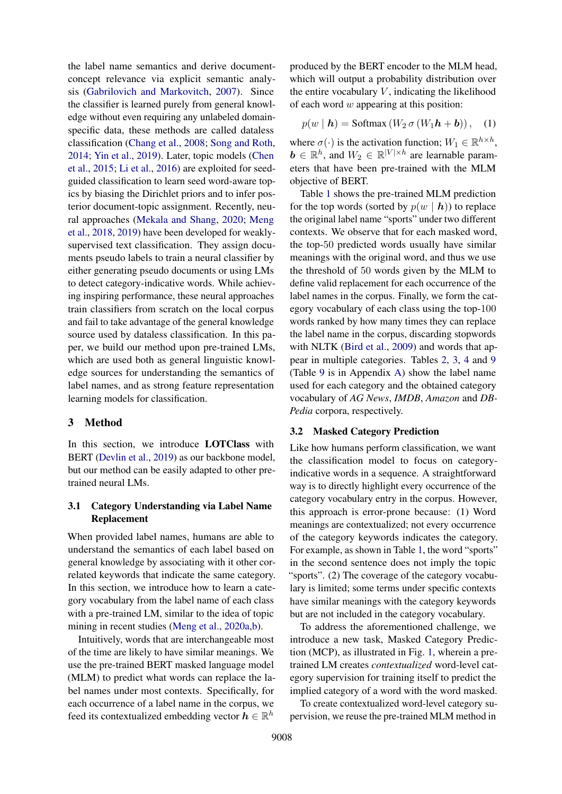the label name semantics and derive documentconcept relevance via explicit semantic analysis [\(Gabrilovich and Markovitch,](#page-9-15) [2007\)](#page-9-15). Since the classifier is learned purely from general knowledge without even requiring any unlabeled domainspecific data, these methods are called dataless classification [\(Chang et al.,](#page-9-7) [2008;](#page-9-7) [Song and Roth,](#page-10-17) [2014;](#page-10-17) [Yin et al.,](#page-10-18) [2019\)](#page-10-18). Later, topic models [\(Chen](#page-9-16) [et al.,](#page-9-16) [2015;](#page-9-16) [Li et al.,](#page-9-17) [2016\)](#page-9-17) are exploited for seedguided classification to learn seed word-aware topics by biasing the Dirichlet priors and to infer posterior document-topic assignment. Recently, neural approaches [\(Mekala and Shang,](#page-9-18) [2020;](#page-9-18) [Meng](#page-9-19) [et al.,](#page-9-19) [2018,](#page-9-19) [2019\)](#page-9-20) have been developed for weaklysupervised text classification. They assign documents pseudo labels to train a neural classifier by either generating pseudo documents or using LMs to detect category-indicative words. While achieving inspiring performance, these neural approaches train classifiers from scratch on the local corpus and fail to take advantage of the general knowledge source used by dataless classification. In this paper, we build our method upon pre-trained LMs, which are used both as general linguistic knowledge sources for understanding the semantics of label names, and as strong feature representation learning models for classification.

#### 3 Method

In this section, we introduce **LOTClass** with BERT [\(Devlin et al.,](#page-9-5) [2019\)](#page-9-5) as our backbone model, but our method can be easily adapted to other pretrained neural LMs.

#### <span id="page-2-0"></span>3.1 Category Understanding via Label Name Replacement

When provided label names, humans are able to understand the semantics of each label based on general knowledge by associating with it other correlated keywords that indicate the same category. In this section, we introduce how to learn a category vocabulary from the label name of each class with a pre-trained LM, similar to the idea of topic mining in recent studies [\(Meng et al.,](#page-9-21) [2020a](#page-9-21)[,b\)](#page-9-22).

Intuitively, words that are interchangeable most of the time are likely to have similar meanings. We use the pre-trained BERT masked language model (MLM) to predict what words can replace the label names under most contexts. Specifically, for each occurrence of a label name in the corpus, we feed its contextualized embedding vector  $\boldsymbol{h} \in \mathbb{R}^h$ 

produced by the BERT encoder to the MLM head, which will output a probability distribution over the entire vocabulary  $V$ , indicating the likelihood of each word  $w$  appearing at this position:

$$
p(w | \mathbf{h}) = \text{Softmax}(W_2 \sigma (W_1 \mathbf{h} + \mathbf{b})), \quad (1)
$$

where  $\sigma(\cdot)$  is the activation function;  $W_1 \in \mathbb{R}^{h \times h}$ ,  $\mathbf{b} \in \mathbb{R}^h$ , and  $W_2 \in \mathbb{R}^{|V| \times h}$  are learnable parameters that have been pre-trained with the MLM objective of BERT.

Table [1](#page-3-0) shows the pre-trained MLM prediction for the top words (sorted by  $p(w | h)$ ) to replace the original label name "sports" under two different contexts. We observe that for each masked word, the top-50 predicted words usually have similar meanings with the original word, and thus we use the threshold of 50 words given by the MLM to define valid replacement for each occurrence of the label names in the corpus. Finally, we form the category vocabulary of each class using the top-100 words ranked by how many times they can replace the label name in the corpus, discarding stopwords with NLTK [\(Bird et al.,](#page-8-0) [2009\)](#page-8-0) and words that appear in multiple categories. Tables [2,](#page-3-1) [3,](#page-4-0) [4](#page-4-1) and [9](#page-11-0) (Table [9](#page-11-0) is in Appendix [A\)](#page-10-19) show the label name used for each category and the obtained category vocabulary of *AG News*, *IMDB*, *Amazon* and *DB-Pedia* corpora, respectively.

### <span id="page-2-1"></span>3.2 Masked Category Prediction

Like how humans perform classification, we want the classification model to focus on categoryindicative words in a sequence. A straightforward way is to directly highlight every occurrence of the category vocabulary entry in the corpus. However, this approach is error-prone because: (1) Word meanings are contextualized; not every occurrence of the category keywords indicates the category. For example, as shown in Table [1,](#page-3-0) the word "sports" in the second sentence does not imply the topic "sports". (2) The coverage of the category vocabulary is limited; some terms under specific contexts have similar meanings with the category keywords but are not included in the category vocabulary.

To address the aforementioned challenge, we introduce a new task, Masked Category Prediction (MCP), as illustrated in Fig. [1,](#page-5-0) wherein a pretrained LM creates *contextualized* word-level category supervision for training itself to predict the implied category of a word with the word masked.

To create contextualized word-level category supervision, we reuse the pre-trained MLM method in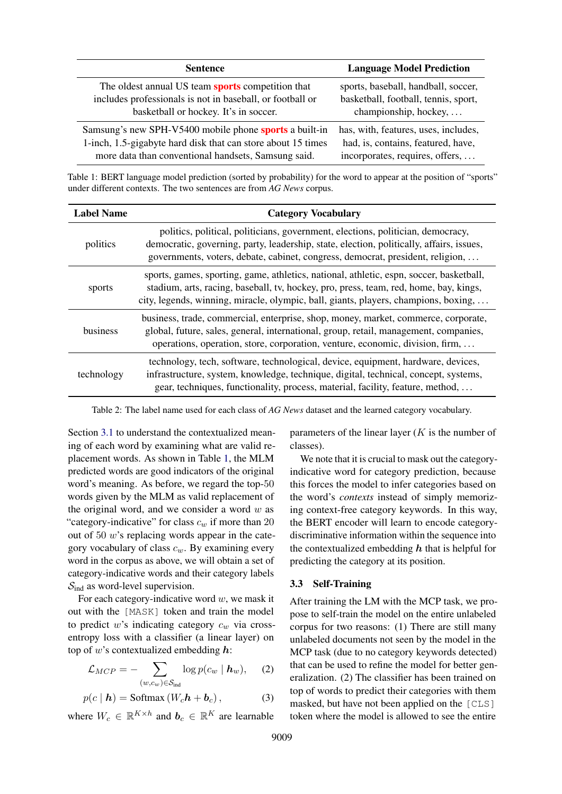<span id="page-3-0"></span>

| <b>Sentence</b>                                              | <b>Language Model Prediction</b>     |
|--------------------------------------------------------------|--------------------------------------|
| The oldest annual US team sports competition that            | sports, baseball, handball, soccer,  |
| includes professionals is not in baseball, or football or    | basketball, football, tennis, sport, |
| basketball or hockey. It's in soccer.                        | championship, hockey,                |
| Samsung's new SPH-V5400 mobile phone sports a built-in       | has, with, features, uses, includes, |
| 1-inch, 1.5-gigabyte hard disk that can store about 15 times | had, is, contains, featured, have,   |
| more data than conventional handsets, Samsung said.          | incorporates, requires, offers,      |

Table 1: BERT language model prediction (sorted by probability) for the word to appear at the position of "sports" under different contexts. The two sentences are from *AG News* corpus.

<span id="page-3-1"></span>

| <b>Label Name</b> | <b>Category Vocabulary</b>                                                                                                                                                                                                                                              |
|-------------------|-------------------------------------------------------------------------------------------------------------------------------------------------------------------------------------------------------------------------------------------------------------------------|
| politics          | politics, political, politicians, government, elections, politician, democracy,<br>democratic, governing, party, leadership, state, election, politically, affairs, issues,<br>governments, voters, debate, cabinet, congress, democrat, president, religion,           |
| sports            | sports, games, sporting, game, athletics, national, athletic, espn, soccer, basketball,<br>stadium, arts, racing, baseball, tv, hockey, pro, press, team, red, home, bay, kings,<br>city, legends, winning, miracle, olympic, ball, giants, players, champions, boxing, |
| business          | business, trade, commercial, enterprise, shop, money, market, commerce, corporate,<br>global, future, sales, general, international, group, retail, management, companies,<br>operations, operation, store, corporation, venture, economic, division, firm,             |
| technology        | technology, tech, software, technological, device, equipment, hardware, devices,<br>infrastructure, system, knowledge, technique, digital, technical, concept, systems,<br>gear, techniques, functionality, process, material, facility, feature, method,               |

Table 2: The label name used for each class of *AG News* dataset and the learned category vocabulary.

Section [3.1](#page-2-0) to understand the contextualized meaning of each word by examining what are valid replacement words. As shown in Table [1,](#page-3-0) the MLM predicted words are good indicators of the original word's meaning. As before, we regard the top-50 words given by the MLM as valid replacement of the original word, and we consider a word  $w$  as "category-indicative" for class  $c_w$  if more than 20 out of 50 w's replacing words appear in the category vocabulary of class  $c_w$ . By examining every word in the corpus as above, we will obtain a set of category-indicative words and their category labels  $S_{\text{ind}}$  as word-level supervision.

For each category-indicative word  $w$ , we mask it out with the [MASK] token and train the model to predict w's indicating category  $c_w$  via crossentropy loss with a classifier (a linear layer) on top of  $w$ 's contextualized embedding  $h$ :

$$
\mathcal{L}_{MCP} = -\sum_{(w,c_w)\in\mathcal{S}_{\text{ind}}} \log p(c_w \mid \mathbf{h}_w), \quad (2)
$$

$$
p(c | \mathbf{h}) = \text{Softmax}(W_c \mathbf{h} + \mathbf{b}_c), \tag{3}
$$

where  $W_c \in \mathbb{R}^{K \times h}$  and  $b_c \in \mathbb{R}^K$  are learnable

parameters of the linear layer  $(K)$  is the number of classes).

We note that it is crucial to mask out the categoryindicative word for category prediction, because this forces the model to infer categories based on the word's *contexts* instead of simply memorizing context-free category keywords. In this way, the BERT encoder will learn to encode categorydiscriminative information within the sequence into the contextualized embedding  $h$  that is helpful for predicting the category at its position.

### 3.3 Self-Training

<span id="page-3-3"></span><span id="page-3-2"></span>After training the LM with the MCP task, we propose to self-train the model on the entire unlabeled corpus for two reasons: (1) There are still many unlabeled documents not seen by the model in the MCP task (due to no category keywords detected) that can be used to refine the model for better generalization. (2) The classifier has been trained on top of words to predict their categories with them masked, but have not been applied on the [CLS] token where the model is allowed to see the entire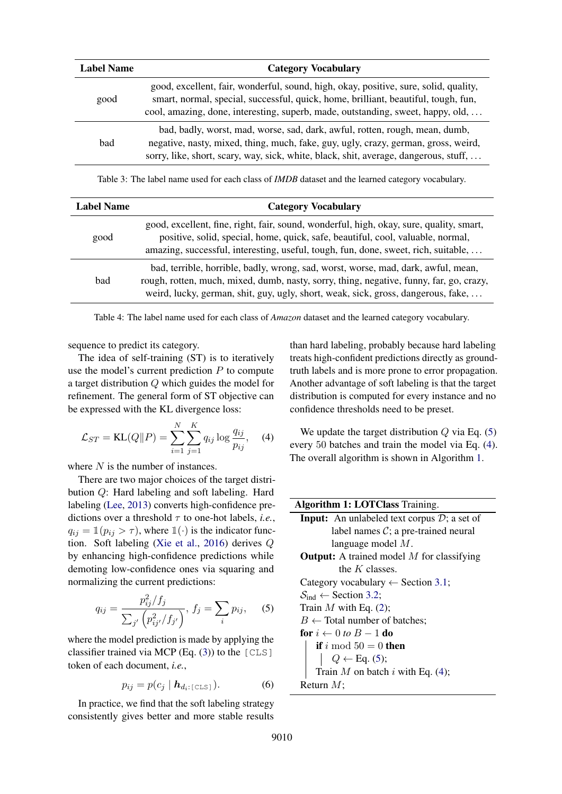<span id="page-4-0"></span>

| <b>Label Name</b> | <b>Category Vocabulary</b>                                                                                                                                                                                                                                    |  |  |
|-------------------|---------------------------------------------------------------------------------------------------------------------------------------------------------------------------------------------------------------------------------------------------------------|--|--|
| good              | good, excellent, fair, wonderful, sound, high, okay, positive, sure, solid, quality,<br>smart, normal, special, successful, quick, home, brilliant, beautiful, tough, fun,<br>cool, amazing, done, interesting, superb, made, outstanding, sweet, happy, old, |  |  |
| bad               | bad, badly, worst, mad, worse, sad, dark, awful, rotten, rough, mean, dumb,<br>negative, nasty, mixed, thing, much, fake, guy, ugly, crazy, german, gross, weird,<br>sorry, like, short, scary, way, sick, white, black, shit, average, dangerous, stuff,     |  |  |

Table 3: The label name used for each class of *IMDB* dataset and the learned category vocabulary.

<span id="page-4-1"></span>

| <b>Label Name</b> | <b>Category Vocabulary</b>                                                                                                                                                                                                                                        |  |
|-------------------|-------------------------------------------------------------------------------------------------------------------------------------------------------------------------------------------------------------------------------------------------------------------|--|
| good              | good, excellent, fine, right, fair, sound, wonderful, high, okay, sure, quality, smart,<br>positive, solid, special, home, quick, safe, beautiful, cool, valuable, normal,<br>amazing, successful, interesting, useful, tough, fun, done, sweet, rich, suitable,  |  |
| bad               | bad, terrible, horrible, badly, wrong, sad, worst, worse, mad, dark, awful, mean,<br>rough, rotten, much, mixed, dumb, nasty, sorry, thing, negative, funny, far, go, crazy,<br>weird, lucky, german, shit, guy, ugly, short, weak, sick, gross, dangerous, fake, |  |

Table 4: The label name used for each class of *Amazon* dataset and the learned category vocabulary.

sequence to predict its category.

The idea of self-training (ST) is to iteratively use the model's current prediction  $P$  to compute a target distribution Q which guides the model for refinement. The general form of ST objective can be expressed with the KL divergence loss:

$$
\mathcal{L}_{ST} = \text{KL}(Q||P) = \sum_{i=1}^{N} \sum_{j=1}^{K} q_{ij} \log \frac{q_{ij}}{p_{ij}}, \quad (4)
$$

where  $N$  is the number of instances.

There are two major choices of the target distribution Q: Hard labeling and soft labeling. Hard labeling [\(Lee,](#page-9-23) [2013\)](#page-9-23) converts high-confidence predictions over a threshold  $\tau$  to one-hot labels, *i.e.*,  $q_{ij} = \mathbb{1}(p_{ij} > \tau)$ , where  $\mathbb{1}(\cdot)$  is the indicator function. Soft labeling [\(Xie et al.,](#page-10-20) [2016\)](#page-10-20) derives Q by enhancing high-confidence predictions while demoting low-confidence ones via squaring and normalizing the current predictions:

$$
q_{ij} = \frac{p_{ij}^2/f_j}{\sum_{j'} \left(p_{ij'}^2/f_{j'}\right)}, \, f_j = \sum_i p_{ij}, \quad (5)
$$

where the model prediction is made by applying the classifier trained via MCP (Eq.  $(3)$ ) to the [CLS] token of each document, *i.e.*,

$$
p_{ij} = p(c_j \mid \mathbf{h}_{d_i: [\text{CLS}]}).
$$
 (6)

In practice, we find that the soft labeling strategy consistently gives better and more stable results than hard labeling, probably because hard labeling treats high-confident predictions directly as groundtruth labels and is more prone to error propagation. Another advantage of soft labeling is that the target distribution is computed for every instance and no confidence thresholds need to be preset.

<span id="page-4-3"></span>We update the target distribution  $Q$  via Eq. [\(5\)](#page-4-2) every 50 batches and train the model via Eq. [\(4\)](#page-4-3). The overall algorithm is shown in Algorithm [1.](#page-4-4)

<span id="page-4-4"></span><span id="page-4-2"></span>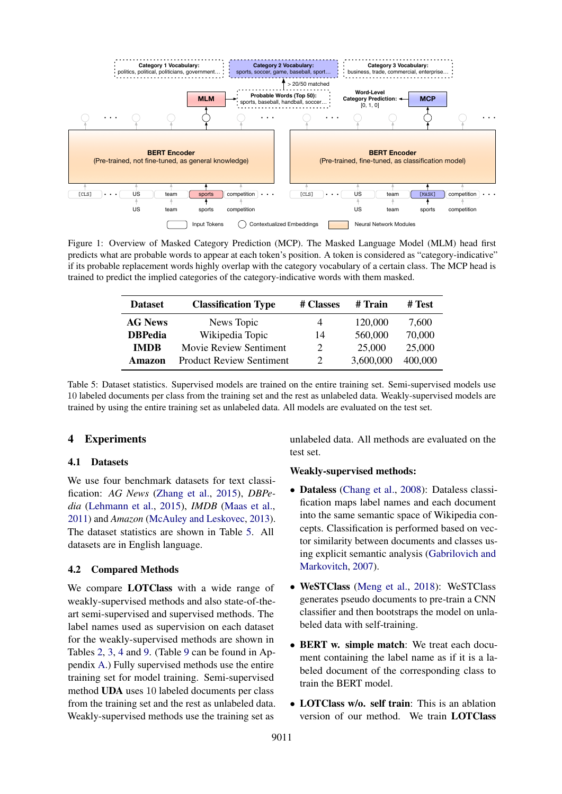<span id="page-5-0"></span>

<span id="page-5-1"></span>Figure 1: Overview of Masked Category Prediction (MCP). The Masked Language Model (MLM) head first predicts what are probable words to appear at each token's position. A token is considered as "category-indicative" if its probable replacement words highly overlap with the category vocabulary of a certain class. The MCP head is trained to predict the implied categories of the category-indicative words with them masked.

| <b>Dataset</b> | <b>Classification Type</b>      | # Classes                   | # Train   | # Test  |
|----------------|---------------------------------|-----------------------------|-----------|---------|
| <b>AG News</b> | News Topic                      | 4                           | 120,000   | 7,600   |
| <b>DBPedia</b> | Wikipedia Topic                 | 14                          | 560,000   | 70,000  |
| <b>IMDB</b>    | Movie Review Sentiment          | $\mathcal{D}_{\mathcal{L}}$ | 25,000    | 25,000  |
| Amazon         | <b>Product Review Sentiment</b> | $\mathcal{D}_{\mathcal{L}}$ | 3,600,000 | 400,000 |

Table 5: Dataset statistics. Supervised models are trained on the entire training set. Semi-supervised models use 10 labeled documents per class from the training set and the rest as unlabeled data. Weakly-supervised models are trained by using the entire training set as unlabeled data. All models are evaluated on the test set.

### 4 Experiments

### 4.1 Datasets

We use four benchmark datasets for text classification: *AG News* [\(Zhang et al.,](#page-10-1) [2015\)](#page-10-1), *DBPedia* [\(Lehmann et al.,](#page-9-24) [2015\)](#page-9-24), *IMDB* [\(Maas et al.,](#page-9-25) [2011\)](#page-9-25) and *Amazon* [\(McAuley and Leskovec,](#page-9-26) [2013\)](#page-9-26). The dataset statistics are shown in Table [5.](#page-5-1) All datasets are in English language.

### 4.2 Compared Methods

We compare LOTClass with a wide range of weakly-supervised methods and also state-of-theart semi-supervised and supervised methods. The label names used as supervision on each dataset for the weakly-supervised methods are shown in Tables [2,](#page-3-1) [3,](#page-4-0) [4](#page-4-1) and [9.](#page-11-0) (Table [9](#page-11-0) can be found in Appendix [A.](#page-10-19)) Fully supervised methods use the entire training set for model training. Semi-supervised method UDA uses 10 labeled documents per class from the training set and the rest as unlabeled data. Weakly-supervised methods use the training set as unlabeled data. All methods are evaluated on the test set.

### Weakly-supervised methods:

- Dataless [\(Chang et al.,](#page-9-7) [2008\)](#page-9-7): Dataless classification maps label names and each document into the same semantic space of Wikipedia concepts. Classification is performed based on vector similarity between documents and classes using explicit semantic analysis [\(Gabrilovich and](#page-9-15) [Markovitch,](#page-9-15) [2007\)](#page-9-15).
- WeSTClass [\(Meng et al.,](#page-9-19) [2018\)](#page-9-19): WeSTClass generates pseudo documents to pre-train a CNN classifier and then bootstraps the model on unlabeled data with self-training.
- BERT w. simple match: We treat each document containing the label name as if it is a labeled document of the corresponding class to train the BERT model.
- **LOTClass w/o. self train:** This is an ablation version of our method. We train LOTClass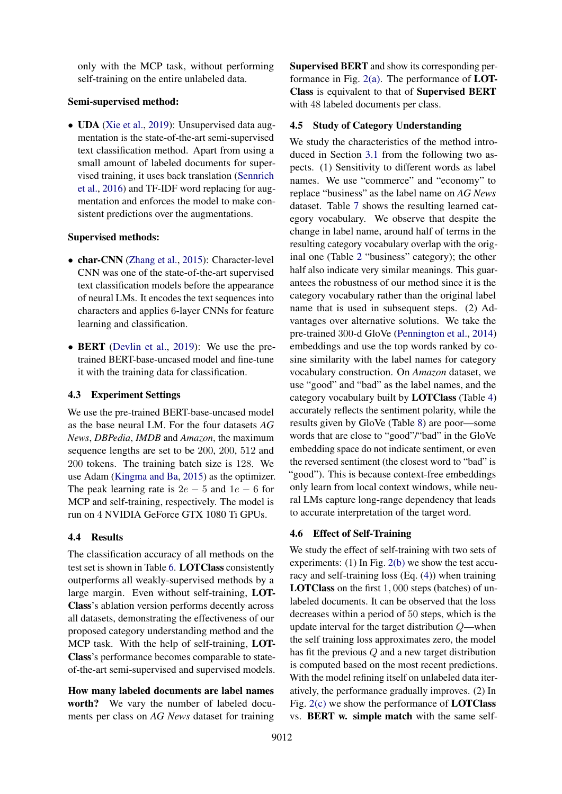only with the MCP task, without performing self-training on the entire unlabeled data.

#### Semi-supervised method:

• UDA [\(Xie et al.,](#page-10-4) [2019\)](#page-10-4): Unsupervised data augmentation is the state-of-the-art semi-supervised text classification method. Apart from using a small amount of labeled documents for supervised training, it uses back translation [\(Sennrich](#page-10-9) [et al.,](#page-10-9) [2016\)](#page-10-9) and TF-IDF word replacing for augmentation and enforces the model to make consistent predictions over the augmentations.

#### Supervised methods:

- char-CNN [\(Zhang et al.,](#page-10-1) [2015\)](#page-10-1): Character-level CNN was one of the state-of-the-art supervised text classification models before the appearance of neural LMs. It encodes the text sequences into characters and applies 6-layer CNNs for feature learning and classification.
- **BERT** [\(Devlin et al.,](#page-9-5) [2019\)](#page-9-5): We use the pretrained BERT-base-uncased model and fine-tune it with the training data for classification.

## 4.3 Experiment Settings

We use the pre-trained BERT-base-uncased model as the base neural LM. For the four datasets *AG News*, *DBPedia*, *IMDB* and *Amazon*, the maximum sequence lengths are set to be 200, 200, 512 and 200 tokens. The training batch size is 128. We use Adam [\(Kingma and Ba,](#page-9-27) [2015\)](#page-9-27) as the optimizer. The peak learning rate is  $2e - 5$  and  $1e - 6$  for MCP and self-training, respectively. The model is run on 4 NVIDIA GeForce GTX 1080 Ti GPUs.

# 4.4 Results

The classification accuracy of all methods on the test set is shown in Table [6.](#page-7-0) LOTClass consistently outperforms all weakly-supervised methods by a large margin. Even without self-training, LOT-Class's ablation version performs decently across all datasets, demonstrating the effectiveness of our proposed category understanding method and the MCP task. With the help of self-training, LOT-Class's performance becomes comparable to stateof-the-art semi-supervised and supervised models.

How many labeled documents are label names worth? We vary the number of labeled documents per class on *AG News* dataset for training Supervised BERT and show its corresponding performance in Fig.  $2(a)$ . The performance of **LOT-**Class is equivalent to that of Supervised BERT with 48 labeled documents per class.

### 4.5 Study of Category Understanding

We study the characteristics of the method introduced in Section [3.1](#page-2-0) from the following two aspects. (1) Sensitivity to different words as label names. We use "commerce" and "economy" to replace "business" as the label name on *AG News* dataset. Table [7](#page-7-1) shows the resulting learned category vocabulary. We observe that despite the change in label name, around half of terms in the resulting category vocabulary overlap with the original one (Table [2](#page-3-1) "business" category); the other half also indicate very similar meanings. This guarantees the robustness of our method since it is the category vocabulary rather than the original label name that is used in subsequent steps. (2) Advantages over alternative solutions. We take the pre-trained 300-d GloVe [\(Pennington et al.,](#page-9-28) [2014\)](#page-9-28) embeddings and use the top words ranked by cosine similarity with the label names for category vocabulary construction. On *Amazon* dataset, we use "good" and "bad" as the label names, and the category vocabulary built by LOTClass (Table [4\)](#page-4-1) accurately reflects the sentiment polarity, while the results given by GloVe (Table [8\)](#page-7-2) are poor—some words that are close to "good"/"bad" in the GloVe embedding space do not indicate sentiment, or even the reversed sentiment (the closest word to "bad" is "good"). This is because context-free embeddings only learn from local context windows, while neural LMs capture long-range dependency that leads to accurate interpretation of the target word.

### 4.6 Effect of Self-Training

We study the effect of self-training with two sets of experiments: (1) In Fig. [2\(b\)](#page-8-2) we show the test accuracy and self-training loss (Eq. [\(4\)](#page-4-3)) when training LOTClass on the first 1, 000 steps (batches) of unlabeled documents. It can be observed that the loss decreases within a period of 50 steps, which is the update interval for the target distribution Q—when the self training loss approximates zero, the model has fit the previous Q and a new target distribution is computed based on the most recent predictions. With the model refining itself on unlabeled data iteratively, the performance gradually improves. (2) In Fig.  $2(c)$  we show the performance of **LOTClass** vs. BERT w. simple match with the same self-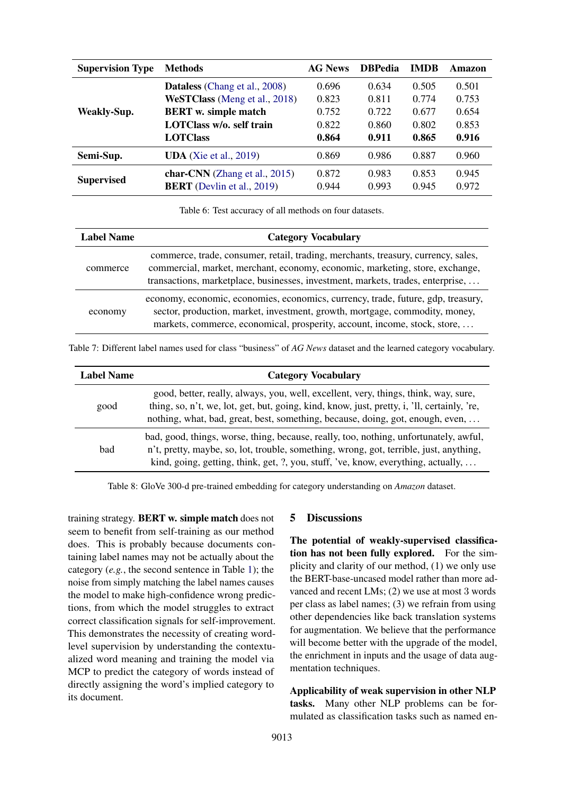<span id="page-7-0"></span>

| <b>Supervision Type</b> | <b>Methods</b>                                                        | <b>AG News</b> | <b>DBPedia</b> | <b>IMDB</b>    | Amazon         |
|-------------------------|-----------------------------------------------------------------------|----------------|----------------|----------------|----------------|
|                         | <b>Dataless</b> (Chang et al., 2008)                                  | 0.696          | 0.634          | 0.505          | 0.501          |
|                         | WeSTClass (Meng et al., 2018)                                         | 0.823          | 0.811          | 0.774          | 0.753          |
| <b>Weakly-Sup.</b>      | <b>BERT</b> w. simple match                                           | 0.752          | 0.722          | 0.677          | 0.654          |
|                         | LOTClass w/o. self train                                              | 0.822          | 0.860          | 0.802          | 0.853          |
|                         | <b>LOTClass</b>                                                       | 0.864          | 0.911          | 0.865          | 0.916          |
| Semi-Sup.               | <b>UDA</b> (Xie et al., 2019)                                         | 0.869          | 0.986          | 0.887          | 0.960          |
| <b>Supervised</b>       | char-CNN (Zhang et al., $2015$ )<br><b>BERT</b> (Devlin et al., 2019) | 0.872<br>0.944 | 0.983<br>0.993 | 0.853<br>0.945 | 0.945<br>0.972 |

Table 6: Test accuracy of all methods on four datasets.

<span id="page-7-1"></span>

| <b>Label Name</b> | <b>Category Vocabulary</b>                                                                                                                                                                                                                           |  |
|-------------------|------------------------------------------------------------------------------------------------------------------------------------------------------------------------------------------------------------------------------------------------------|--|
| commerce          | commerce, trade, consumer, retail, trading, merchants, treasury, currency, sales,<br>commercial, market, merchant, economy, economic, marketing, store, exchange,<br>transactions, marketplace, businesses, investment, markets, trades, enterprise, |  |
| economy           | economy, economic, economies, economics, currency, trade, future, gdp, treasury,<br>sector, production, market, investment, growth, mortgage, commodity, money,<br>markets, commerce, economical, prosperity, account, income, stock, store,         |  |

Table 7: Different label names used for class "business" of *AG News* dataset and the learned category vocabulary.

<span id="page-7-2"></span>

| <b>Label Name</b> | <b>Category Vocabulary</b>                                                                                                                                                                                                                                           |
|-------------------|----------------------------------------------------------------------------------------------------------------------------------------------------------------------------------------------------------------------------------------------------------------------|
| good              | good, better, really, always, you, well, excellent, very, things, think, way, sure,<br>thing, so, n't, we, lot, get, but, going, kind, know, just, pretty, i, 'll, certainly, 're,<br>nothing, what, bad, great, best, something, because, doing, got, enough, even, |
| bad               | bad, good, things, worse, thing, because, really, too, nothing, unfortunately, awful,<br>n't, pretty, maybe, so, lot, trouble, something, wrong, got, terrible, just, anything,<br>kind, going, getting, think, get, ?, you, stuff, 've, know, everything, actually, |

Table 8: GloVe 300-d pre-trained embedding for category understanding on *Amazon* dataset.

training strategy. BERT w. simple match does not seem to benefit from self-training as our method does. This is probably because documents containing label names may not be actually about the category (*e.g.*, the second sentence in Table [1\)](#page-3-0); the noise from simply matching the label names causes the model to make high-confidence wrong predictions, from which the model struggles to extract correct classification signals for self-improvement. This demonstrates the necessity of creating wordlevel supervision by understanding the contextualized word meaning and training the model via MCP to predict the category of words instead of directly assigning the word's implied category to its document.

#### 5 Discussions

The potential of weakly-supervised classification has not been fully explored. For the simplicity and clarity of our method, (1) we only use the BERT-base-uncased model rather than more advanced and recent LMs; (2) we use at most 3 words per class as label names; (3) we refrain from using other dependencies like back translation systems for augmentation. We believe that the performance will become better with the upgrade of the model, the enrichment in inputs and the usage of data augmentation techniques.

Applicability of weak supervision in other NLP tasks. Many other NLP problems can be formulated as classification tasks such as named en-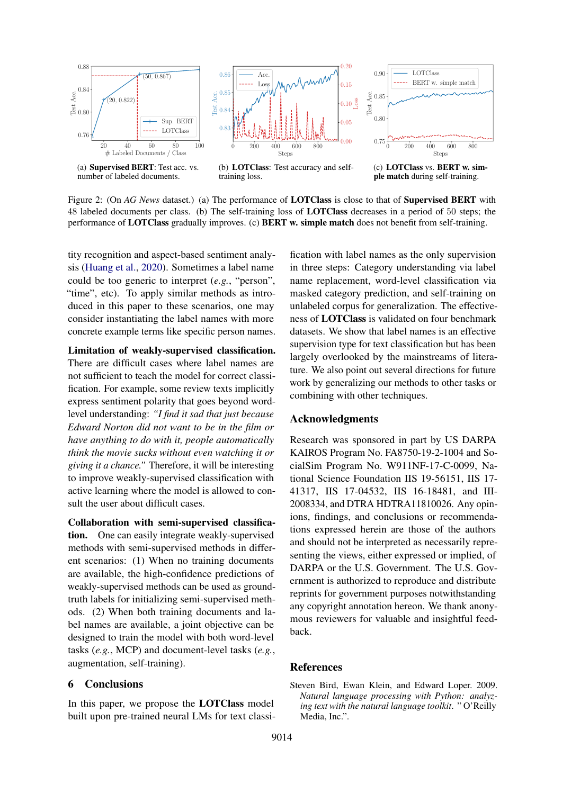<span id="page-8-1"></span>

number of labeled documents.

<span id="page-8-2"></span>training loss.

<span id="page-8-3"></span>ple match during self-training.

Figure 2: (On *AG News* dataset.) (a) The performance of **LOTClass** is close to that of **Supervised BERT** with 48 labeled documents per class. (b) The self-training loss of LOTClass decreases in a period of 50 steps; the performance of LOTClass gradually improves. (c) BERT w. simple match does not benefit from self-training.

tity recognition and aspect-based sentiment analysis [\(Huang et al.,](#page-9-29) [2020\)](#page-9-29). Sometimes a label name could be too generic to interpret (*e.g.*, "person", "time", etc). To apply similar methods as introduced in this paper to these scenarios, one may consider instantiating the label names with more concrete example terms like specific person names.

Limitation of weakly-supervised classification. There are difficult cases where label names are not sufficient to teach the model for correct classification. For example, some review texts implicitly express sentiment polarity that goes beyond wordlevel understanding: *"I find it sad that just because Edward Norton did not want to be in the film or have anything to do with it, people automatically think the movie sucks without even watching it or giving it a chance."* Therefore, it will be interesting to improve weakly-supervised classification with active learning where the model is allowed to consult the user about difficult cases.

Collaboration with semi-supervised classification. One can easily integrate weakly-supervised methods with semi-supervised methods in different scenarios: (1) When no training documents are available, the high-confidence predictions of weakly-supervised methods can be used as groundtruth labels for initializing semi-supervised methods. (2) When both training documents and label names are available, a joint objective can be designed to train the model with both word-level tasks (*e.g.*, MCP) and document-level tasks (*e.g.*, augmentation, self-training).

#### 6 Conclusions

In this paper, we propose the LOTClass model built upon pre-trained neural LMs for text classi-

fication with label names as the only supervision in three steps: Category understanding via label name replacement, word-level classification via masked category prediction, and self-training on unlabeled corpus for generalization. The effectiveness of LOTClass is validated on four benchmark datasets. We show that label names is an effective supervision type for text classification but has been largely overlooked by the mainstreams of literature. We also point out several directions for future work by generalizing our methods to other tasks or combining with other techniques.

#### Acknowledgments

Research was sponsored in part by US DARPA KAIROS Program No. FA8750-19-2-1004 and SocialSim Program No. W911NF-17-C-0099, National Science Foundation IIS 19-56151, IIS 17- 41317, IIS 17-04532, IIS 16-18481, and III-2008334, and DTRA HDTRA11810026. Any opinions, findings, and conclusions or recommendations expressed herein are those of the authors and should not be interpreted as necessarily representing the views, either expressed or implied, of DARPA or the U.S. Government. The U.S. Government is authorized to reproduce and distribute reprints for government purposes notwithstanding any copyright annotation hereon. We thank anonymous reviewers for valuable and insightful feedback.

#### **References**

<span id="page-8-0"></span>Steven Bird, Ewan Klein, and Edward Loper. 2009. *Natural language processing with Python: analyzing text with the natural language toolkit*. " O'Reilly Media, Inc.".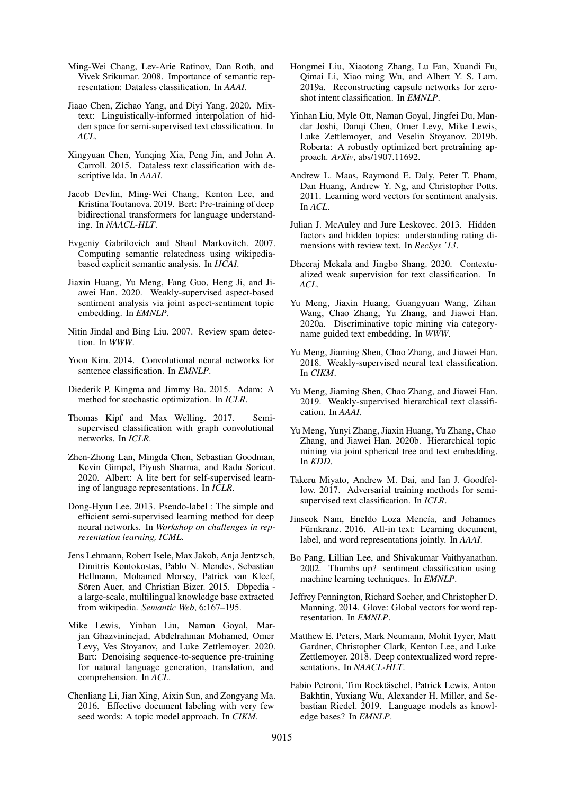- <span id="page-9-7"></span>Ming-Wei Chang, Lev-Arie Ratinov, Dan Roth, and Vivek Srikumar. 2008. Importance of semantic representation: Dataless classification. In *AAAI*.
- <span id="page-9-3"></span>Jiaao Chen, Zichao Yang, and Diyi Yang. 2020. Mixtext: Linguistically-informed interpolation of hidden space for semi-supervised text classification. In *ACL*.
- <span id="page-9-16"></span>Xingyuan Chen, Yunqing Xia, Peng Jin, and John A. Carroll. 2015. Dataless text classification with descriptive lda. In *AAAI*.
- <span id="page-9-5"></span>Jacob Devlin, Ming-Wei Chang, Kenton Lee, and Kristina Toutanova. 2019. Bert: Pre-training of deep bidirectional transformers for language understanding. In *NAACL-HLT*.
- <span id="page-9-15"></span>Evgeniy Gabrilovich and Shaul Markovitch. 2007. Computing semantic relatedness using wikipediabased explicit semantic analysis. In *IJCAI*.
- <span id="page-9-29"></span>Jiaxin Huang, Yu Meng, Fang Guo, Heng Ji, and Jiawei Han. 2020. Weakly-supervised aspect-based sentiment analysis via joint aspect-sentiment topic embedding. In *EMNLP*.
- <span id="page-9-0"></span>Nitin Jindal and Bing Liu. 2007. Review spam detection. In *WWW*.
- <span id="page-9-2"></span>Yoon Kim. 2014. Convolutional neural networks for sentence classification. In *EMNLP*.
- <span id="page-9-27"></span>Diederik P. Kingma and Jimmy Ba. 2015. Adam: A method for stochastic optimization. In *ICLR*.
- <span id="page-9-12"></span>Thomas Kipf and Max Welling. 2017. Semisupervised classification with graph convolutional networks. In *ICLR*.
- <span id="page-9-8"></span>Zhen-Zhong Lan, Mingda Chen, Sebastian Goodman, Kevin Gimpel, Piyush Sharma, and Radu Soricut. 2020. Albert: A lite bert for self-supervised learning of language representations. In *ICLR*.
- <span id="page-9-23"></span>Dong-Hyun Lee. 2013. Pseudo-label : The simple and efficient semi-supervised learning method for deep neural networks. In *Workshop on challenges in representation learning, ICML*.
- <span id="page-9-24"></span>Jens Lehmann, Robert Isele, Max Jakob, Anja Jentzsch, Dimitris Kontokostas, Pablo N. Mendes, Sebastian Hellmann, Mohamed Morsey, Patrick van Kleef, Sören Auer, and Christian Bizer. 2015. Dbpedia a large-scale, multilingual knowledge base extracted from wikipedia. *Semantic Web*, 6:167–195.
- <span id="page-9-9"></span>Mike Lewis, Yinhan Liu, Naman Goyal, Marjan Ghazvininejad, Abdelrahman Mohamed, Omer Levy, Ves Stoyanov, and Luke Zettlemoyer. 2020. Bart: Denoising sequence-to-sequence pre-training for natural language generation, translation, and comprehension. In *ACL*.
- <span id="page-9-17"></span>Chenliang Li, Jian Xing, Aixin Sun, and Zongyang Ma. 2016. Effective document labeling with very few seed words: A topic model approach. In *CIKM*.
- <span id="page-9-13"></span>Hongmei Liu, Xiaotong Zhang, Lu Fan, Xuandi Fu, Qimai Li, Xiao ming Wu, and Albert Y. S. Lam. 2019a. Reconstructing capsule networks for zeroshot intent classification. In *EMNLP*.
- <span id="page-9-10"></span>Yinhan Liu, Myle Ott, Naman Goyal, Jingfei Du, Mandar Joshi, Danqi Chen, Omer Levy, Mike Lewis, Luke Zettlemoyer, and Veselin Stoyanov. 2019b. Roberta: A robustly optimized bert pretraining approach. *ArXiv*, abs/1907.11692.
- <span id="page-9-25"></span>Andrew L. Maas, Raymond E. Daly, Peter T. Pham, Dan Huang, Andrew Y. Ng, and Christopher Potts. 2011. Learning word vectors for sentiment analysis. In *ACL*.
- <span id="page-9-26"></span>Julian J. McAuley and Jure Leskovec. 2013. Hidden factors and hidden topics: understanding rating dimensions with review text. In *RecSys '13*.
- <span id="page-9-18"></span>Dheeraj Mekala and Jingbo Shang. 2020. Contextualized weak supervision for text classification. In *ACL*.
- <span id="page-9-21"></span>Yu Meng, Jiaxin Huang, Guangyuan Wang, Zihan Wang, Chao Zhang, Yu Zhang, and Jiawei Han. 2020a. Discriminative topic mining via categoryname guided text embedding. In *WWW*.
- <span id="page-9-19"></span>Yu Meng, Jiaming Shen, Chao Zhang, and Jiawei Han. 2018. Weakly-supervised neural text classification. In *CIKM*.
- <span id="page-9-20"></span>Yu Meng, Jiaming Shen, Chao Zhang, and Jiawei Han. 2019. Weakly-supervised hierarchical text classification. In *AAAI*.
- <span id="page-9-22"></span>Yu Meng, Yunyi Zhang, Jiaxin Huang, Yu Zhang, Chao Zhang, and Jiawei Han. 2020b. Hierarchical topic mining via joint spherical tree and text embedding. In *KDD*.
- <span id="page-9-4"></span>Takeru Miyato, Andrew M. Dai, and Ian J. Goodfellow. 2017. Adversarial training methods for semisupervised text classification. In *ICLR*.
- <span id="page-9-14"></span>Jinseok Nam, Eneldo Loza Mencía, and Johannes Fürnkranz. 2016. All-in text: Learning document, label, and word representations jointly. In *AAAI*.
- <span id="page-9-1"></span>Bo Pang, Lillian Lee, and Shivakumar Vaithyanathan. 2002. Thumbs up? sentiment classification using machine learning techniques. In *EMNLP*.
- <span id="page-9-28"></span>Jeffrey Pennington, Richard Socher, and Christopher D. Manning. 2014. Glove: Global vectors for word representation. In *EMNLP*.
- <span id="page-9-6"></span>Matthew E. Peters, Mark Neumann, Mohit Iyyer, Matt Gardner, Christopher Clark, Kenton Lee, and Luke Zettlemoyer. 2018. Deep contextualized word representations. In *NAACL-HLT*.
- <span id="page-9-11"></span>Fabio Petroni, Tim Rocktäschel, Patrick Lewis, Anton Bakhtin, Yuxiang Wu, Alexander H. Miller, and Sebastian Riedel. 2019. Language models as knowledge bases? In *EMNLP*.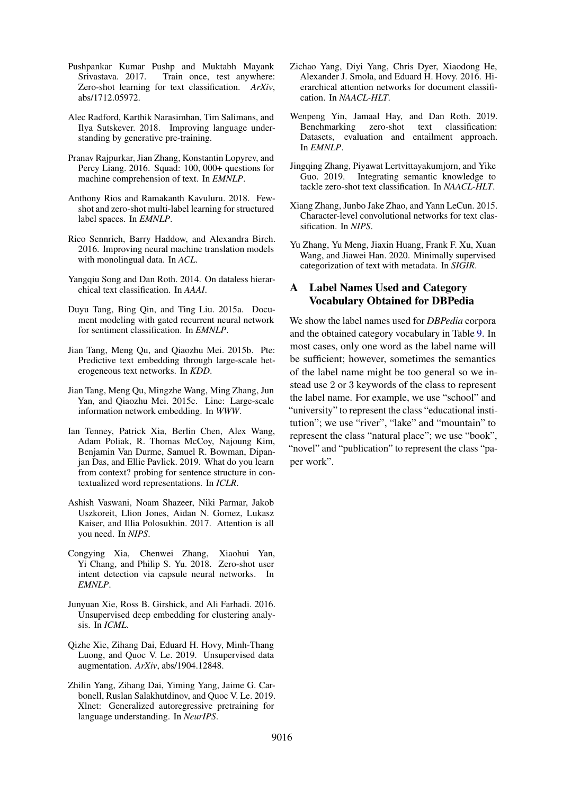- <span id="page-10-13"></span>Pushpankar Kumar Pushp and Muktabh Mayank Srivastava. 2017. Train once, test anywhere: Zero-shot learning for text classification. *ArXiv*, abs/1712.05972.
- <span id="page-10-5"></span>Alec Radford, Karthik Narasimhan, Tim Salimans, and Ilya Sutskever. 2018. Improving language understanding by generative pre-training.
- <span id="page-10-0"></span>Pranav Rajpurkar, Jian Zhang, Konstantin Lopyrev, and Percy Liang. 2016. Squad: 100, 000+ questions for machine comprehension of text. In *EMNLP*.
- <span id="page-10-15"></span>Anthony Rios and Ramakanth Kavuluru. 2018. Fewshot and zero-shot multi-label learning for structured label spaces. In *EMNLP*.
- <span id="page-10-9"></span>Rico Sennrich, Barry Haddow, and Alexandra Birch. 2016. Improving neural machine translation models with monolingual data. In *ACL*.
- <span id="page-10-17"></span>Yangqiu Song and Dan Roth. 2014. On dataless hierarchical text classification. In *AAAI*.
- <span id="page-10-2"></span>Duyu Tang, Bing Qin, and Ting Liu. 2015a. Document modeling with gated recurrent neural network for sentiment classification. In *EMNLP*.
- <span id="page-10-10"></span>Jian Tang, Meng Qu, and Qiaozhu Mei. 2015b. Pte: Predictive text embedding through large-scale heterogeneous text networks. In *KDD*.
- <span id="page-10-12"></span>Jian Tang, Meng Qu, Mingzhe Wang, Ming Zhang, Jun Yan, and Qiaozhu Mei. 2015c. Line: Large-scale information network embedding. In *WWW*.
- <span id="page-10-7"></span>Ian Tenney, Patrick Xia, Berlin Chen, Alex Wang, Adam Poliak, R. Thomas McCoy, Najoung Kim, Benjamin Van Durme, Samuel R. Bowman, Dipanjan Das, and Ellie Pavlick. 2019. What do you learn from context? probing for sentence structure in contextualized word representations. In *ICLR*.
- <span id="page-10-8"></span>Ashish Vaswani, Noam Shazeer, Niki Parmar, Jakob Uszkoreit, Llion Jones, Aidan N. Gomez, Lukasz Kaiser, and Illia Polosukhin. 2017. Attention is all you need. In *NIPS*.
- <span id="page-10-14"></span>Congying Xia, Chenwei Zhang, Xiaohui Yan, Yi Chang, and Philip S. Yu. 2018. Zero-shot user intent detection via capsule neural networks. In *EMNLP*.
- <span id="page-10-20"></span>Junyuan Xie, Ross B. Girshick, and Ali Farhadi. 2016. Unsupervised deep embedding for clustering analysis. In *ICML*.
- <span id="page-10-4"></span>Qizhe Xie, Zihang Dai, Eduard H. Hovy, Minh-Thang Luong, and Quoc V. Le. 2019. Unsupervised data augmentation. *ArXiv*, abs/1904.12848.
- <span id="page-10-6"></span>Zhilin Yang, Zihang Dai, Yiming Yang, Jaime G. Carbonell, Ruslan Salakhutdinov, and Quoc V. Le. 2019. Xlnet: Generalized autoregressive pretraining for language understanding. In *NeurIPS*.
- <span id="page-10-3"></span>Zichao Yang, Diyi Yang, Chris Dyer, Xiaodong He, Alexander J. Smola, and Eduard H. Hovy. 2016. Hierarchical attention networks for document classification. In *NAACL-HLT*.
- <span id="page-10-18"></span>Wenpeng Yin, Jamaal Hay, and Dan Roth. 2019. Benchmarking zero-shot text classification: Datasets, evaluation and entailment approach. In *EMNLP*.
- <span id="page-10-16"></span>Jingqing Zhang, Piyawat Lertvittayakumjorn, and Yike Guo. 2019. Integrating semantic knowledge to tackle zero-shot text classification. In *NAACL-HLT*.
- <span id="page-10-1"></span>Xiang Zhang, Junbo Jake Zhao, and Yann LeCun. 2015. Character-level convolutional networks for text classification. In *NIPS*.
- <span id="page-10-11"></span>Yu Zhang, Yu Meng, Jiaxin Huang, Frank F. Xu, Xuan Wang, and Jiawei Han. 2020. Minimally supervised categorization of text with metadata. In *SIGIR*.

# <span id="page-10-19"></span>A Label Names Used and Category Vocabulary Obtained for DBPedia

We show the label names used for *DBPedia* corpora and the obtained category vocabulary in Table [9.](#page-11-0) In most cases, only one word as the label name will be sufficient; however, sometimes the semantics of the label name might be too general so we instead use 2 or 3 keywords of the class to represent the label name. For example, we use "school" and "university" to represent the class "educational institution"; we use "river", "lake" and "mountain" to represent the class "natural place"; we use "book", "novel" and "publication" to represent the class "paper work".